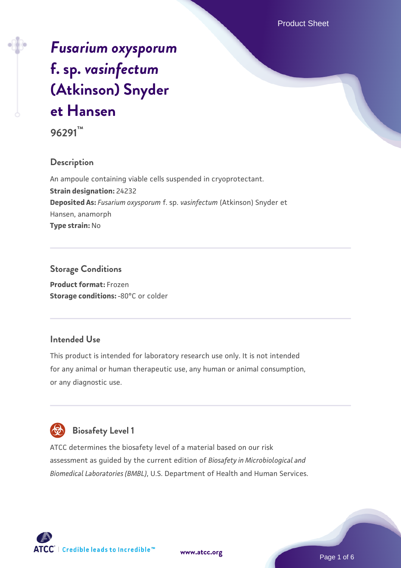# *[Fusarium oxysporum](https://www.atcc.org/products/96291)* **[f. sp.](https://www.atcc.org/products/96291)** *[vasinfectum](https://www.atcc.org/products/96291)* **[\(Atkinson\) Snyder](https://www.atcc.org/products/96291) [et Hansen](https://www.atcc.org/products/96291)**

**96291™**

# **Description**

An ampoule containing viable cells suspended in cryoprotectant. **Strain designation:** 24232 **Deposited As:** *Fusarium oxysporum* f. sp. *vasinfectum* (Atkinson) Snyder et Hansen, anamorph **Type strain:** No

# **Storage Conditions**

**Product format:** Frozen **Storage conditions: -80°C or colder** 

# **Intended Use**

This product is intended for laboratory research use only. It is not intended for any animal or human therapeutic use, any human or animal consumption, or any diagnostic use.



# **Biosafety Level 1**

ATCC determines the biosafety level of a material based on our risk assessment as guided by the current edition of *Biosafety in Microbiological and Biomedical Laboratories (BMBL)*, U.S. Department of Health and Human Services.

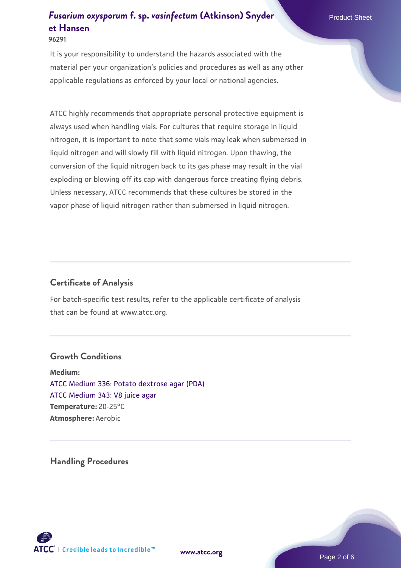It is your responsibility to understand the hazards associated with the material per your organization's policies and procedures as well as any other applicable regulations as enforced by your local or national agencies.

ATCC highly recommends that appropriate personal protective equipment is always used when handling vials. For cultures that require storage in liquid nitrogen, it is important to note that some vials may leak when submersed in liquid nitrogen and will slowly fill with liquid nitrogen. Upon thawing, the conversion of the liquid nitrogen back to its gas phase may result in the vial exploding or blowing off its cap with dangerous force creating flying debris. Unless necessary, ATCC recommends that these cultures be stored in the vapor phase of liquid nitrogen rather than submersed in liquid nitrogen.

# **Certificate of Analysis**

For batch-specific test results, refer to the applicable certificate of analysis that can be found at www.atcc.org.

## **Growth Conditions**

**Medium:**  [ATCC Medium 336: Potato dextrose agar \(PDA\)](https://www.atcc.org/-/media/product-assets/documents/microbial-media-formulations/3/3/6/atcc-medium-336.pdf?rev=d9160ad44d934cd8b65175461abbf3b9) [ATCC Medium 343: V8 juice agar](https://www.atcc.org/-/media/product-assets/documents/microbial-media-formulations/3/4/3/atcc-medium-0343.pdf?rev=fbf48fa24e664932828269db1822ab12) **Temperature:** 20-25°C **Atmosphere:** Aerobic

**Handling Procedures**



**[www.atcc.org](http://www.atcc.org)**

Page 2 of 6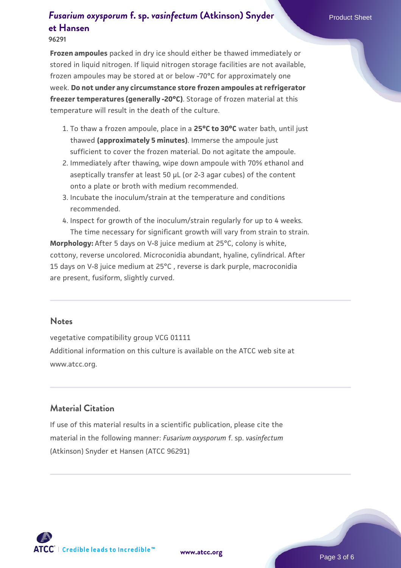#### **96291**

**Frozen ampoules** packed in dry ice should either be thawed immediately or stored in liquid nitrogen. If liquid nitrogen storage facilities are not available, frozen ampoules may be stored at or below -70°C for approximately one week. **Do not under any circumstance store frozen ampoules at refrigerator freezer temperatures (generally -20°C)**. Storage of frozen material at this temperature will result in the death of the culture.

- 1. To thaw a frozen ampoule, place in a **25°C to 30°C** water bath, until just thawed **(approximately 5 minutes)**. Immerse the ampoule just sufficient to cover the frozen material. Do not agitate the ampoule.
- 2. Immediately after thawing, wipe down ampoule with 70% ethanol and aseptically transfer at least 50 µL (or 2-3 agar cubes) of the content onto a plate or broth with medium recommended.
- Incubate the inoculum/strain at the temperature and conditions 3. recommended.
- 4. Inspect for growth of the inoculum/strain regularly for up to 4 weeks. The time necessary for significant growth will vary from strain to strain.

**Morphology:** After 5 days on V-8 juice medium at 25°C, colony is white, cottony, reverse uncolored. Microconidia abundant, hyaline, cylindrical. After 15 days on V-8 juice medium at 25°C , reverse is dark purple, macroconidia are present, fusiform, slightly curved.

#### **Notes**

vegetative compatibility group VCG 01111 Additional information on this culture is available on the ATCC web site at www.atcc.org.

### **Material Citation**

If use of this material results in a scientific publication, please cite the material in the following manner: *Fusarium oxysporum* f. sp. *vasinfectum* (Atkinson) Snyder et Hansen (ATCC 96291)

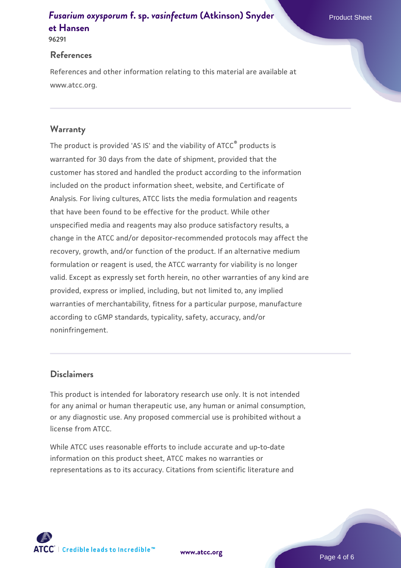#### **96291**

### **References**

References and other information relating to this material are available at www.atcc.org.

# **Warranty**

The product is provided 'AS IS' and the viability of ATCC® products is warranted for 30 days from the date of shipment, provided that the customer has stored and handled the product according to the information included on the product information sheet, website, and Certificate of Analysis. For living cultures, ATCC lists the media formulation and reagents that have been found to be effective for the product. While other unspecified media and reagents may also produce satisfactory results, a change in the ATCC and/or depositor-recommended protocols may affect the recovery, growth, and/or function of the product. If an alternative medium formulation or reagent is used, the ATCC warranty for viability is no longer valid. Except as expressly set forth herein, no other warranties of any kind are provided, express or implied, including, but not limited to, any implied warranties of merchantability, fitness for a particular purpose, manufacture according to cGMP standards, typicality, safety, accuracy, and/or noninfringement.

# **Disclaimers**

This product is intended for laboratory research use only. It is not intended for any animal or human therapeutic use, any human or animal consumption, or any diagnostic use. Any proposed commercial use is prohibited without a license from ATCC.

While ATCC uses reasonable efforts to include accurate and up-to-date information on this product sheet, ATCC makes no warranties or representations as to its accuracy. Citations from scientific literature and

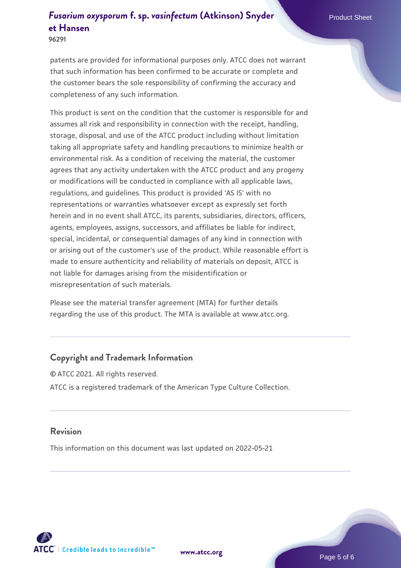**96291**

patents are provided for informational purposes only. ATCC does not warrant that such information has been confirmed to be accurate or complete and the customer bears the sole responsibility of confirming the accuracy and completeness of any such information.

This product is sent on the condition that the customer is responsible for and assumes all risk and responsibility in connection with the receipt, handling, storage, disposal, and use of the ATCC product including without limitation taking all appropriate safety and handling precautions to minimize health or environmental risk. As a condition of receiving the material, the customer agrees that any activity undertaken with the ATCC product and any progeny or modifications will be conducted in compliance with all applicable laws, regulations, and guidelines. This product is provided 'AS IS' with no representations or warranties whatsoever except as expressly set forth herein and in no event shall ATCC, its parents, subsidiaries, directors, officers, agents, employees, assigns, successors, and affiliates be liable for indirect, special, incidental, or consequential damages of any kind in connection with or arising out of the customer's use of the product. While reasonable effort is made to ensure authenticity and reliability of materials on deposit, ATCC is not liable for damages arising from the misidentification or misrepresentation of such materials.

Please see the material transfer agreement (MTA) for further details regarding the use of this product. The MTA is available at www.atcc.org.

#### **Copyright and Trademark Information**

© ATCC 2021. All rights reserved. ATCC is a registered trademark of the American Type Culture Collection.

### **Revision**

This information on this document was last updated on 2022-05-21



**[www.atcc.org](http://www.atcc.org)**